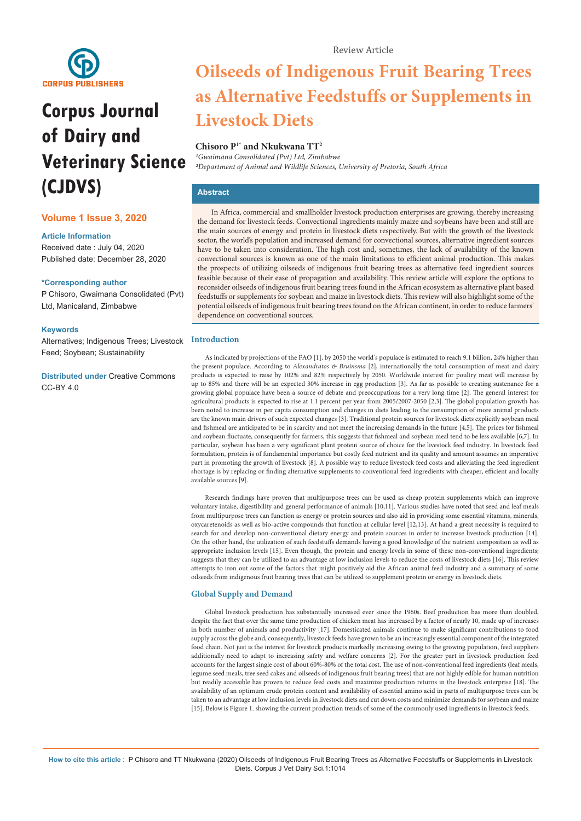

# **Corpus Journal of Dairy and Veterinary Science (CJDVS)**

## **Volume 1 Issue 3, 2020**

#### **Article Information**

Received date : July 04, 2020 Published date: December 28, 2020

#### **\*Corresponding author**

P Chisoro, Gwaimana Consolidated (Pvt) Ltd, Manicaland, Zimbabwe

#### **Keywords**

Alternatives; Indigenous Trees; Livestock Feed; Soybean; Sustainability

**Distributed under** [Creative Commons](https://creativecommons.org/licenses/by/4.0/)  [CC-BY 4.0](https://creativecommons.org/licenses/by/4.0/)

## **Oilseeds of Indigenous Fruit Bearing Trees as Alternative Feedstuffs or Supplements in Livestock Diets**

## **Chisoro P1\* and Nkukwana TT2**

*1Gwaimana Consolidated (Pvt) Ltd, Zimbabwe 2Department of Animal and Wildlife Sciences, University of Pretoria, South Africa*

## **Abstract**

In Africa, commercial and smallholder livestock production enterprises are growing, thereby increasing the demand for livestock feeds. Convectional ingredients mainly maize and soybeans have been and still are the main sources of energy and protein in livestock diets respectively. But with the growth of the livestock sector, the world's population and increased demand for convectional sources, alternative ingredient sources have to be taken into consideration. The high cost and, sometimes, the lack of availability of the known convectional sources is known as one of the main limitations to efficient animal production. This makes the prospects of utilizing oilseeds of indigenous fruit bearing trees as alternative feed ingredient sources feasible because of their ease of propagation and availability. This review article will explore the options to reconsider oilseeds of indigenous fruit bearing trees found in the African ecosystem as alternative plant based feedstuffs or supplements for soybean and maize in livestock diets. This review will also highlight some of the potential oilseeds of indigenous fruit bearing trees found on the African continent, in order to reduce farmers' dependence on conventional sources.

#### **Introduction**

As indicated by projections of the FAO [1], by 2050 the world's populace is estimated to reach 9.1 billion, 24% higher than the present populace. According to *Alexandratos & Bruinsma* [2], internationally the total consumption of meat and dairy products is expected to raise by 102% and 82% respectively by 2050. Worldwide interest for poultry meat will increase by up to 85% and there will be an expected 30% increase in egg production [3]. As far as possible to creating sustenance for a growing global populace have been a source of debate and preoccupations for a very long time [2]. The general interest for agricultural products is expected to rise at 1.1 percent per year from 2005/2007-2050 [2,3]. The global population growth has been noted to increase in per capita consumption and changes in diets leading to the consumption of more animal products are the known main drivers of such expected changes [3]. Traditional protein sources for livestock diets explicitly soybean meal and fishmeal are anticipated to be in scarcity and not meet the increasing demands in the future [4,5]. The prices for fishmeal and soybean fluctuate, consequently for farmers, this suggests that fishmeal and soybean meal tend to be less available [6,7]. In particular, soybean has been a very significant plant protein source of choice for the livestock feed industry. In livestock feed formulation, protein is of fundamental importance but costly feed nutrient and its quality and amount assumes an imperative part in promoting the growth of livestock [8]. A possible way to reduce livestock feed costs and alleviating the feed ingredient shortage is by replacing or finding alternative supplements to conventional feed ingredients with cheaper, efficient and locally available sources [9].

Research findings have proven that multipurpose trees can be used as cheap protein supplements which can improve voluntary intake, digestibility and general performance of animals [10,11]. Various studies have noted that seed and leaf meals from multipurpose trees can function as energy or protein sources and also aid in providing some essential vitamins, minerals, oxycaretenoids as well as bio-active compounds that function at cellular level [12,13]. At hand a great necessity is required to search for and develop non-conventional dietary energy and protein sources in order to increase livestock production [14]. On the other hand, the utilization of such feedstuffs demands having a good knowledge of the nutrient composition as well as appropriate inclusion levels [15]. Even though, the protein and energy levels in some of these non-conventional ingredients; suggests that they can be utilized to an advantage at low inclusion levels to reduce the costs of livestock diets [16]. This review attempts to iron out some of the factors that might positively aid the African animal feed industry and a summary of some oilseeds from indigenous fruit bearing trees that can be utilized to supplement protein or energy in livestock diets.

#### **Global Supply and Demand**

Global livestock production has substantially increased ever since the 1960s. Beef production has more than doubled, despite the fact that over the same time production of chicken meat has increased by a factor of nearly 10, made up of increases in both number of animals and productivity [17]. Domesticated animals continue to make significant contributions to food supply across the globe and, consequently, livestock feeds have grown to be an increasingly essential component of the integrated food chain. Not just is the interest for livestock products markedly increasing owing to the growing population, feed suppliers additionally need to adapt to increasing safety and welfare concerns [2]. For the greater part in livestock production feed accounts for the largest single cost of about 60%-80% of the total cost. The use of non-conventional feed ingredients (leaf meals, legume seed meals, tree seed cakes and oilseeds of indigenous fruit bearing trees) that are not highly edible for human nutrition but readily accessible has proven to reduce feed costs and maximize production returns in the livestock enterprise [18]. The availability of an optimum crude protein content and availability of essential amino acid in parts of multipurpose trees can be taken to an advantage at low inclusion levels in livestock diets and cut down costs and minimize demands for soybean and maize [15]. Below is Figure 1. showing the current production trends of some of the commonly used ingredients in livestock feeds.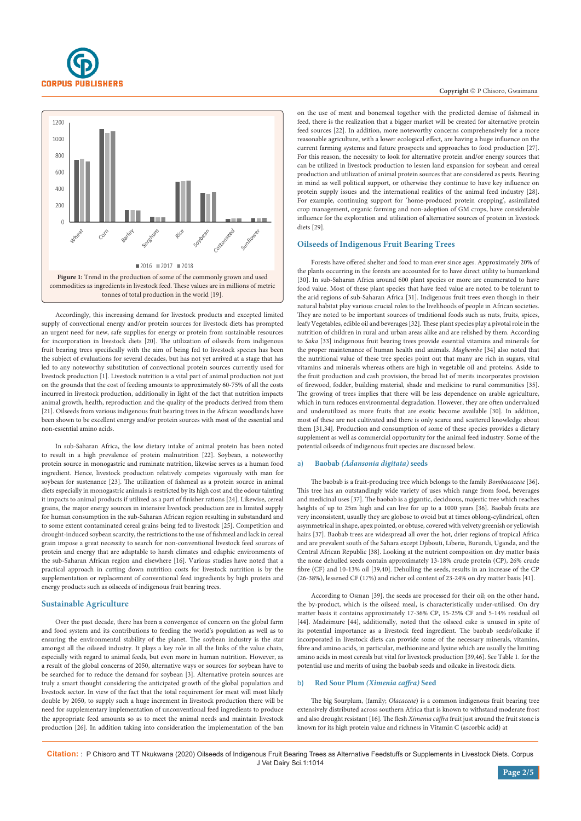



Accordingly, this increasing demand for livestock products and excepted limited supply of convectional energy and/or protein sources for livestock diets has prompted an urgent need for new, safe supplies for energy or protein from sustainable resources for incorporation in livestock diets [20]. The utilization of oilseeds from indigenous fruit bearing trees specifically with the aim of being fed to livestock species has been the subject of evaluations for several decades, but has not yet arrived at a stage that has led to any noteworthy substitution of convectional protein sources currently used for livestock production [1]. Livestock nutrition is a vital part of animal production not just on the grounds that the cost of feeding amounts to approximately 60-75% of all the costs incurred in livestock production, additionally in light of the fact that nutrition impacts animal growth, health, reproduction and the quality of the products derived from them [21]. Oilseeds from various indigenous fruit bearing trees in the African woodlands have been shown to be excellent energy and/or protein sources with most of the essential and non-essential amino acids.

In sub-Saharan Africa, the low dietary intake of animal protein has been noted to result in a high prevalence of protein malnutrition [22]. Soybean, a noteworthy protein source in monogastric and ruminate nutrition, likewise serves as a human food ingredient. Hence, livestock production relatively competes vigorously with man for soybean for sustenance [23]. The utilization of fishmeal as a protein source in animal diets especially in monogastric animals is restricted by its high cost and the odour tainting it impacts to animal products if utilized as a part of finisher rations [24]. Likewise, cereal grains, the major energy sources in intensive livestock production are in limited supply for human consumption in the sub-Saharan African region resulting in substandard and to some extent contaminated cereal grains being fed to livestock [25]. Competition and drought-induced soybean scarcity, the restrictions to the use of fishmeal and lack in cereal grain impose a great necessity to search for non-conventional livestock feed sources of protein and energy that are adaptable to harsh climates and edaphic environments of the sub-Saharan African region and elsewhere [16]. Various studies have noted that a practical approach in cutting down nutrition costs for livestock nutrition is by the supplementation or replacement of conventional feed ingredients by high protein and energy products such as oilseeds of indigenous fruit bearing trees.

#### **Sustainable Agriculture**

Over the past decade, there has been a convergence of concern on the global farm and food system and its contributions to feeding the world's population as well as to ensuring the environmental stability of the planet. The soybean industry is the star amongst all the oilseed industry. It plays a key role in all the links of the value chain, especially with regard to animal feeds, but even more in human nutrition. However, as a result of the global concerns of 2050, alternative ways or sources for soybean have to be searched for to reduce the demand for soybean [3]. Alternative protein sources are truly a smart thought considering the anticipated growth of the global population and livestock sector. In view of the fact that the total requirement for meat will most likely double by 2050, to supply such a huge increment in livestock production there will be need for supplementary implementation of unconventional feed ingredients to produce the appropriate feed amounts so as to meet the animal needs and maintain livestock production [26]. In addition taking into consideration the implementation of the ban on the use of meat and bonemeal together with the predicted demise of fishmeal in feed, there is the realization that a bigger market will be created for alternative protein feed sources [22]. In addition, more noteworthy concerns comprehensively for a more reasonable agriculture, with a lower ecological effect, are having a huge influence on the current farming systems and future prospects and approaches to food production [27]. For this reason, the necessity to look for alternative protein and/or energy sources that can be utilized in livestock production to lessen land expansion for soybean and cereal production and utilization of animal protein sources that are considered as pests. Bearing in mind as well political support, or otherwise they continue to have key influence on protein supply issues and the international realities of the animal feed industry [28]. For example, continuing support for 'home-produced protein cropping', assimilated crop management, organic farming and non-adoption of GM crops, have considerable influence for the exploration and utilization of alternative sources of protein in livestock diets [29].

### **Oilseeds of Indigenous Fruit Bearing Trees**

Forests have offered shelter and food to man ever since ages. Approximately 20% of the plants occurring in the forests are accounted for to have direct utility to humankind [30]. In sub-Saharan Africa around 600 plant species or more are enumerated to have food value. Most of these plant species that have feed value are noted to be tolerant to the arid regions of sub-Saharan Africa [31]. Indigenous fruit trees even though in their natural habitat play various crucial roles to the livelihoods of people in African societies. They are noted to be important sources of traditional foods such as nuts, fruits, spices, leafy Vegetables, edible oil and beverages [32]. These plant species play a pivotal role in the nutrition of children in rural and urban areas alike and are relished by them. According to *Saka* [33] indigenous fruit bearing trees provide essential vitamins and minerals for the proper maintenance of human health and animals. *Maghembe* [34] also noted that the nutritional value of these tree species point out that many are rich in sugars, vital vitamins and minerals whereas others are high in vegetable oil and proteins. Aside to the fruit production and cash provision, the broad list of merits incorporates provision of firewood, fodder, building material, shade and medicine to rural communities [35]. The growing of trees implies that there will be less dependence on arable agriculture, which in turn reduces environmental degradation. However, they are often undervalued and underutilized as more fruits that are exotic become available [30]. In addition, most of these are not cultivated and there is only scarce and scattered knowledge about them [31,34]. Production and consumption of some of these species provides a dietary supplement as well as commercial opportunity for the animal feed industry. Some of the potential oilseeds of indigenous fruit species are discussed below.

#### a) **Baobab** *(Adansonia digitata)* **seeds**

The baobab is a fruit-producing tree which belongs to the family *Bombacaceae* [36]. This tree has an outstandingly wide variety of uses which range from food, beverages and medicinal uses [37]. The baobab is a gigantic, deciduous, majestic tree which reaches heights of up to 25m high and can live for up to a 1000 years [36]. Baobab fruits are very inconsistent, usually they are globose to ovoid but at times oblong-cylindrical, often asymmetrical in shape, apex pointed, or obtuse, covered with velvety greenish or yellowish hairs [37]. Baobab trees are widespread all over the hot, drier regions of tropical Africa and are prevalent south of the Sahara except Djibouti, Liberia, Burundi, Uganda, and the Central African Republic [38]. Looking at the nutrient composition on dry matter basis the none dehulled seeds contain approximately 13-18% crude protein (CP), 26% crude fibre (CF) and 10-13% oil [39,40]. Dehulling the seeds, results in an increase of the CP (26-38%), lessened CF (17%) and richer oil content of 23-24% on dry matter basis [41].

According to Osman [39], the seeds are processed for their oil; on the other hand, the by-product, which is the oilseed meal, is characteristically under-utilised. On dry matter basis it contains approximately 17-36% CP, 15-25% CF and 5-14% residual oil [44]. Madzimure [44], additionally, noted that the oilseed cake is unused in spite of its potential importance as a livestock feed ingredient. The baobab seeds/oilcake if incorporated in livestock diets can provide some of the necessary minerals, vitamins, fibre and amino acids, in particular, methionine and lysine which are usually the limiting amino acids in most cereals but vital for livestock production [39,46]. See Table 1. for the potential use and merits of using the baobab seeds and oilcake in livestock diets.

#### b) **Red Sour Plum** *(Ximenia caffra)* **Seed**

The big Sourplum, (family; *Olacaceae*) is a common indigenous fruit bearing tree extensively distributed across southern Africa that is known to withstand moderate frost and also drought resistant [16]. The flesh *Ximenia caffra* fruit just around the fruit stone is known for its high protein value and richness in Vitamin C (ascorbic acid) at

**Citation:** : P Chisoro and TT Nkukwana (2020) Oilseeds of Indigenous Fruit Bearing Trees as Alternative Feedstuffs or Supplements in Livestock Diets. Corpus J Vet Dairy Sci.1:1014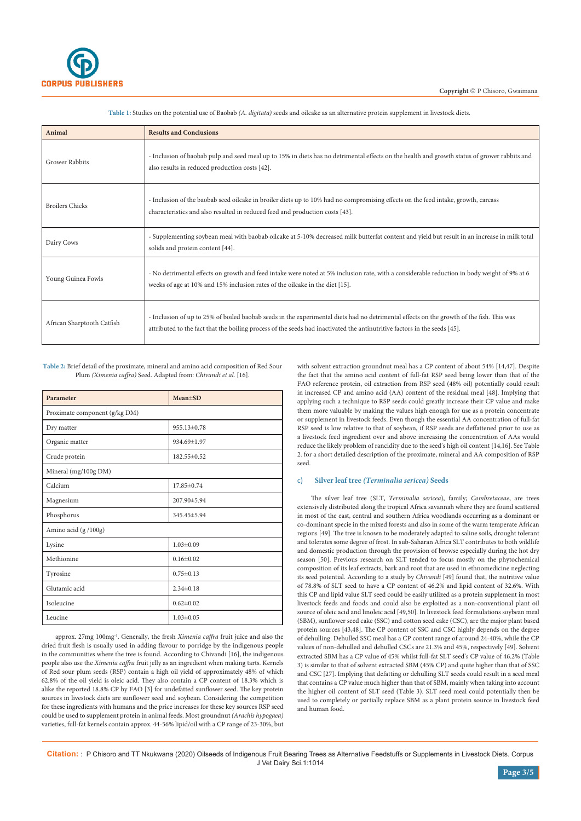

| Animal                     | <b>Results and Conclusions</b>                                                                                                                                                                                                                                        |  |
|----------------------------|-----------------------------------------------------------------------------------------------------------------------------------------------------------------------------------------------------------------------------------------------------------------------|--|
| <b>Grower Rabbits</b>      | - Inclusion of baobab pulp and seed meal up to 15% in diets has no detrimental effects on the health and growth status of grower rabbits and<br>also results in reduced production costs [42].                                                                        |  |
| <b>Broilers Chicks</b>     | - Inclusion of the baobab seed oilcake in broiler diets up to 10% had no compromising effects on the feed intake, growth, carcass<br>characteristics and also resulted in reduced feed and production costs [43].                                                     |  |
| Dairy Cows                 | - Supplementing soybean meal with baobab oilcake at 5-10% decreased milk butterfat content and yield but result in an increase in milk total<br>solids and protein content [44].                                                                                      |  |
| Young Guinea Fowls         | - No detrimental effects on growth and feed intake were noted at 5% inclusion rate, with a considerable reduction in body weight of 9% at 6<br>weeks of age at 10% and 15% inclusion rates of the oilcake in the diet [15].                                           |  |
| African Sharptooth Catfish | - Inclusion of up to 25% of boiled baobab seeds in the experimental diets had no detrimental effects on the growth of the fish. This was<br>attributed to the fact that the boiling process of the seeds had inactivated the antinutritive factors in the seeds [45]. |  |

**Table 1:** Studies on the potential use of Baobab *(A. digitata)* seeds and oilcake as an alternative protein supplement in livestock diets.

**Table 2:** Brief detail of the proximate, mineral and amino acid composition of Red Sour Plum *(Ximenia caffra)* Seed. Adapted from: *Chivandi et al*. [16].

| Parameter                     | $Mean \pm SD$   |  |  |
|-------------------------------|-----------------|--|--|
| Proximate component (g/kg DM) |                 |  |  |
| Dry matter                    | 955.13±0.78     |  |  |
| Organic matter                | 934.69±1.97     |  |  |
| Crude protein                 | 182.55±0.52     |  |  |
| Mineral (mg/100g DM)          |                 |  |  |
| Calcium                       | 17.85±0.74      |  |  |
| Magnesium                     | 207.90±5.94     |  |  |
| Phosphorus                    | 345.45±5.94     |  |  |
| Amino acid (g /100g)          |                 |  |  |
| Lysine                        | $1.03 \pm 0.09$ |  |  |
| Methionine                    | $0.16 \pm 0.02$ |  |  |
| Tyrosine                      | $0.75 \pm 0.13$ |  |  |
| Glutamic acid                 | $2.34\pm0.18$   |  |  |
| Isoleucine                    | $0.62 \pm 0.02$ |  |  |
| Leucine                       | $1.03 \pm 0.05$ |  |  |

approx. 27mg 100mg-1. Generally, the fresh *Ximenia caffra* fruit juice and also the dried fruit flesh is usually used in adding flavour to porridge by the indigenous people in the communities where the tree is found. According to Chivandi [16], the indigenous people also use the *Ximenia caffra* fruit jelly as an ingredient when making tarts. Kernels of Red sour plum seeds (RSP) contain a high oil yield of approximately 48% of which 62.8% of the oil yield is oleic acid. They also contain a CP content of 18.3% which is alike the reported 18.8% CP by FAO [3] for undefatted sunflower seed. The key protein sources in livestock diets are sunflower seed and soybean. Considering the competition for these ingredients with humans and the price increases for these key sources RSP seed could be used to supplement protein in animal feeds. Most groundnut *(Arachis hypogaea)* varieties, full-fat kernels contain approx. 44-56% lipid/oil with a CP range of 23-30%, but

with solvent extraction groundnut meal has a CP content of about 54% [14,47]. Despite the fact that the amino acid content of full-fat RSP seed being lower than that of the FAO reference protein, oil extraction from RSP seed (48% oil) potentially could result in increased CP and amino acid (AA) content of the residual meal [48]. Implying that applying such a technique to RSP seeds could greatly increase their CP value and make them more valuable by making the values high enough for use as a protein concentrate or supplement in livestock feeds. Even though the essential AA concentration of full-fat RSP seed is low relative to that of soybean, if RSP seeds are deffattened prior to use as a livestock feed ingredient over and above increasing the concentration of AAs would reduce the likely problem of rancidity due to the seed's high oil content [14,16]. See Table 2. for a short detailed description of the proximate, mineral and AA composition of RSP seed.

#### c) **Silver leaf tree** *(Terminalia sericea)* **Seeds**

The silver leaf tree (SLT, *Terminalia sericea*), family; *Combretaceae*, are trees extensively distributed along the tropical Africa savannah where they are found scattered in most of the east, central and southern Africa woodlands occurring as a dominant or co-dominant specie in the mixed forests and also in some of the warm temperate African regions [49]. The tree is known to be moderately adapted to saline soils, drought tolerant and tolerates some degree of frost. In sub-Saharan Africa SLT contributes to both wildlife and domestic production through the provision of browse especially during the hot dry season [50]. Previous research on SLT tended to focus mostly on the phytochemical composition of its leaf extracts, bark and root that are used in ethnomedicine neglecting its seed potential. According to a study by *Chivandi* [49] found that, the nutritive value of 78.8% of SLT seed to have a CP content of 46.2% and lipid content of 32.6%. With this CP and lipid value SLT seed could be easily utilized as a protein supplement in most livestock feeds and foods and could also be exploited as a non-conventional plant oil source of oleic acid and linoleic acid [49,50]. In livestock feed formulations soybean meal (SBM), sunflower seed cake (SSC) and cotton seed cake (CSC), are the major plant based protein sources [43,48]. The CP content of SSC and CSC highly depends on the degree of dehulling. Dehulled SSC meal has a CP content range of around 24-40%, while the CP values of non-dehulled and dehulled CSCs are 21.3% and 45%, respectively [49]. Solvent extracted SBM has a CP value of 45% whilst full-fat SLT seed's CP value of 46.2% (Table 3) is similar to that of solvent extracted SBM (45% CP) and quite higher than that of SSC and CSC [27]. Implying that defatting or dehulling SLT seeds could result in a seed meal that contains a CP value much higher than that of SBM, mainly when taking into account the higher oil content of SLT seed (Table 3). SLT seed meal could potentially then be used to completely or partially replace SBM as a plant protein source in livestock feed and human food.

**Citation:** : P Chisoro and TT Nkukwana (2020) Oilseeds of Indigenous Fruit Bearing Trees as Alternative Feedstuffs or Supplements in Livestock Diets. Corpus J Vet Dairy Sci.1:1014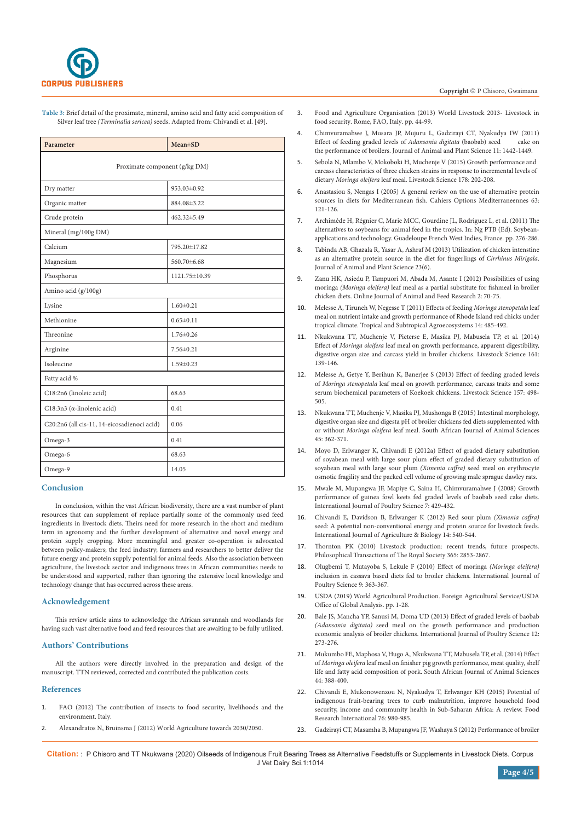

**Table 3:** Brief detail of the proximate, mineral, amino acid and fatty acid composition of Silver leaf tree *(Terminalia sericea)* seeds. Adapted from: Chivandi et al. [49].

| Parameter                                   | $Mean \pm SD$   |  |  |
|---------------------------------------------|-----------------|--|--|
| Proximate component (g/kg DM)               |                 |  |  |
| Dry matter                                  | 953.03±0.92     |  |  |
| Organic matter                              | 884.08±3.22     |  |  |
| Crude protein                               | 462.32±5.49     |  |  |
| Mineral (mg/100g DM)                        |                 |  |  |
| Calcium                                     | 795.20±17.82    |  |  |
| Magnesium                                   | 560.70±6.68     |  |  |
| Phosphorus                                  | 1121.75±10.39   |  |  |
| Amino acid (g/100g)                         |                 |  |  |
| Lysine                                      | $1.60 \pm 0.21$ |  |  |
| Methionine                                  | $0.65 \pm 0.11$ |  |  |
| Threonine                                   | $1.76 \pm 0.26$ |  |  |
| Arginine                                    | $7.56 \pm 0.21$ |  |  |
| Isoleucine                                  | $1.59 \pm 0.23$ |  |  |
| Fatty acid %                                |                 |  |  |
| C18:2n6 (linoleic acid)                     | 68.63           |  |  |
| C18:3n3 ( $\alpha$ -linolenic acid)         | 0.41            |  |  |
| C20:2n6 (all cis-11, 14-eicosadienoci acid) | 0.06            |  |  |
| Omega-3                                     | 0.41            |  |  |
| Omega-6                                     | 68.63           |  |  |
| Omega-9                                     | 14.05           |  |  |

#### **Conclusion**

In conclusion, within the vast African biodiversity, there are a vast number of plant resources that can supplement of replace partially some of the commonly used feed ingredients in livestock diets. Theirs need for more research in the short and medium term in agronomy and the further development of alternative and novel energy and protein supply cropping. More meaningful and greater co-operation is advocated between policy-makers; the feed industry; farmers and researchers to better deliver the future energy and protein supply potential for animal feeds. Also the association between agriculture, the livestock sector and indigenous trees in African communities needs to be understood and supported, rather than ignoring the extensive local knowledge and technology change that has occurred across these areas.

#### **Acknowledgement**

This review article aims to acknowledge the African savannah and woodlands for having such vast alternative food and feed resources that are awaiting to be fully utilized.

#### **Authors' Contributions**

All the authors were directly involved in the preparation and design of the manuscript. TTN reviewed, corrected and contributed the publication costs.

#### **References**

- 1. FAO (2012) The contribution of insects to food security, livelihoods and the environment. Italy.
- 2. Alexandratos N, Bruinsma J (2012) World Agriculture towards 2030/2050.
- 3. Food and Agriculture Organisation (2013) World Livestock 2013- Livestock in food security. Rome, FAO, Italy. pp. 44-99.
- 4. Chimvuramahwe J, Musara JP, Mujuru L, Gadzirayi CT, Nyakudya IW (2011)<br>Effect of feeding graded levels of Adansonia digitata (baobab) seed cake on [Effect of feeding graded levels of](http://www.m.elewa.org/JAPS/2011/11.3/3.pdf) *Adansonia digitata* (baobab) seed [the performance of broilers. Journal of Animal and Plant Science 11: 1442-1449.](http://www.m.elewa.org/JAPS/2011/11.3/3.pdf)
- 5. [Sebola N, Mlambo V, Mokoboki H, Muchenje V \(2015\) Growth performance and](https://www.sciencedirect.com/science/article/abs/pii/S1871141315002000)  [carcass characteristics of three chicken strains in response to incremental levels of](https://www.sciencedirect.com/science/article/abs/pii/S1871141315002000)  dietary *Moringa oleifera* [leaf meal. Livestock Science 178: 202-208.](https://www.sciencedirect.com/science/article/abs/pii/S1871141315002000)
- 6. [Anastasiou S, Nengas I \(2005\) A general review on the use of alternative protein](https://om.ciheam.org/article.php?IDPDF=5600072)  [sources in diets for Mediterranean fish. Cahiers Options Mediterraneennes 63:](https://om.ciheam.org/article.php?IDPDF=5600072)  [121-126.](https://om.ciheam.org/article.php?IDPDF=5600072)
- 7. Archimède H, Régnier C, Marie MCC, Gourdine JL, Rodriguez L, et al. (2011) The alternatives to soybeans for animal feed in the tropics. In: Ng PTB (Ed). Soybeanapplications and technology. Guadeloupe French West Indies, France. pp. 276-286.
- 8. Tabinda AB, Ghazala R, Yasar A, Ashraf M (2013) Utilization of chicken intenstine as an alternative protein source in the diet for fingerlings of *Cirrhinus Mirigala*. Journal of Animal and Plant Science 23(6).
- 9. [Zanu HK, Asiedu P, Tampuori M, Abada M, Asante I \(2012\) Possibilities of using](https://www.cabdirect.org/cabdirect/abstract/20123130680)  moringa *(Moringa oleifera)* [leaf meal as a partial substitute for fishmeal in broiler](https://www.cabdirect.org/cabdirect/abstract/20123130680)  [chicken diets. Online Journal of Animal and Feed Research 2: 70-75.](https://www.cabdirect.org/cabdirect/abstract/20123130680)
- 10. [Melesse A, Tiruneh W, Negesse T \(2011\) Effects of feeding](https://www.revista.ccba.uady.mx/ojs/index.php/TSA/article/view/876) *Moringa stenopetala* leaf [meal on nutrient intake and growth performance of Rhode Island red chicks under](https://www.revista.ccba.uady.mx/ojs/index.php/TSA/article/view/876)  [tropical climate. Tropical and Subtropical Agroecosystems 14: 485-492.](https://www.revista.ccba.uady.mx/ojs/index.php/TSA/article/view/876)
- 11. [Nkukwana TT, Muchenje V, Pieterse E, Masika PJ, Mabusela TP, et al. \(2014\)](https://www.sciencedirect.com/science/article/abs/pii/S1871141314000055)  Effect of *Moringa oleifera* [leaf meal on growth performance, apparent digestibility,](https://www.sciencedirect.com/science/article/abs/pii/S1871141314000055)  [digestive organ size and carcass yield in broiler chickens. Livestock Science 161:](https://www.sciencedirect.com/science/article/abs/pii/S1871141314000055)  [139-146.](https://www.sciencedirect.com/science/article/abs/pii/S1871141314000055)
- 12. [Melesse A, Getye Y, Berihun K, Banerjee S \(2013\) Effect of feeding graded levels](https://www.sciencedirect.com/science/article/abs/pii/S1871141313003624)  of *Moringa stenopetala* [leaf meal on growth performance, carcass traits and some](https://www.sciencedirect.com/science/article/abs/pii/S1871141313003624)  [serum biochemical parameters of Koekoek chickens. Livestock Science 157: 498-](https://www.sciencedirect.com/science/article/abs/pii/S1871141313003624) [505.](https://www.sciencedirect.com/science/article/abs/pii/S1871141313003624)
- 13. [Nkukwana TT, Muchenje V, Masika PJ, Mushonga B \(2015\) Intestinal morphology,](file:///C:\Users\lenovo\Desktop\Proof_1\Intestinal%20morphology,%20digestive%20organ%20size%20and%20digesta%20pH%20of%20broiler%20chickens%20fed%20diets%20supplemented%20with%20or%20without%20Moringa%20oleifera%20leaf%20meal)  [digestive organ size and digesta pH of broiler chickens fed diets supplemented with](file:///C:\Users\lenovo\Desktop\Proof_1\Intestinal%20morphology,%20digestive%20organ%20size%20and%20digesta%20pH%20of%20broiler%20chickens%20fed%20diets%20supplemented%20with%20or%20without%20Moringa%20oleifera%20leaf%20meal)  or without *Moringa oleifera* [leaf meal. South African Journal of Animal Sciences](file:///C:\Users\lenovo\Desktop\Proof_1\Intestinal%20morphology,%20digestive%20organ%20size%20and%20digesta%20pH%20of%20broiler%20chickens%20fed%20diets%20supplemented%20with%20or%20without%20Moringa%20oleifera%20leaf%20meal)  [45: 362-371.](file:///C:\Users\lenovo\Desktop\Proof_1\Intestinal%20morphology,%20digestive%20organ%20size%20and%20digesta%20pH%20of%20broiler%20chickens%20fed%20diets%20supplemented%20with%20or%20without%20Moringa%20oleifera%20leaf%20meal)
- 14. Moyo D, Erlwanger K, Chivandi E (2012a) Effect of graded dietary substitution of soyabean meal with large sour plum effect of graded dietary substitution of soyabean meal with large sour plum *(Ximenia caffra)* seed meal on erythrocyte osmotic fragility and the packed cell volume of growing male sprague dawley rats.
- 15. [Mwale M, Mupangwa JF, Mapiye C, Saina H, Chimvuramahwe J \(2008\) Growth](https://scialert.net/abstract/?doi=ijps.2008.429.432)  [performance of guinea fowl keets fed graded levels of baobab seed cake diets.](https://scialert.net/abstract/?doi=ijps.2008.429.432)  [International Journal of Poultry Science 7: 429-432.](https://scialert.net/abstract/?doi=ijps.2008.429.432)
- 16. Chivandi E, Davidson B, Erlwanger K (2012) Red sour plum *(Ximenia caffra)* seed: A potential non-conventional energy and protein source for livestock feeds. International Journal of Agriculture & Biology 14: 540-544.
- 17. [Thornton PK \(2010\) Livestock production: recent trends, future prospects.](https://royalsocietypublishing.org/doi/10.1098/rstb.2010.0134)  [Philosophical Transactions of The Royal Society 365: 2853-2867.](https://royalsocietypublishing.org/doi/10.1098/rstb.2010.0134)
- 18. [Olugbemi T, Mutayoba S, Lekule F \(2010\) Effect of moringa](https://scialert.net/abstract/?doi=ijps.2010.363.367) *(Moringa oleifera)* [inclusion in cassava based diets fed to broiler chickens. International Journal of](https://scialert.net/abstract/?doi=ijps.2010.363.367)  [Poultry Science 9: 363-367.](https://scialert.net/abstract/?doi=ijps.2010.363.367)
- 19. USDA (2019) World Agricultural Production. Foreign Agricultural Service/USDA Office of Global Analysis. pp. 1-28.
- 20. [Bale JS, Mancha YP, Sanusi M, Doma UD \(2013\) Effect of graded levels of baobab](https://scialert.net/abstract/?doi=ijps.2013.273.276)  *(Adansonia digitata)* [seed meal on the growth performance and production](https://scialert.net/abstract/?doi=ijps.2013.273.276)  [economic analysis of broiler chickens. International Journal of Poultry Science 12:](https://scialert.net/abstract/?doi=ijps.2013.273.276)  [273-276.](https://scialert.net/abstract/?doi=ijps.2013.273.276)
- 21. [Mukumbo FE, Maphosa V, Hugo A, Nkukwana TT, Mabusela TP, et al. \(2014\) Effect](https://www.ajol.info/index.php/sajas/article/view/111153)  of *Moringa oleifera* [leaf meal on finisher pig growth performance, meat quality, shelf](https://www.ajol.info/index.php/sajas/article/view/111153)  [life and fatty acid composition of pork. South African Journal of Animal Sciences](https://www.ajol.info/index.php/sajas/article/view/111153)  [44: 388-400.](https://www.ajol.info/index.php/sajas/article/view/111153)
- 22. [Chivandi E, Mukonowenzou N, Nyakudya T, Erlwanger KH \(2015\) Potential of](https://www.sciencedirect.com/science/article/abs/pii/S0963996915300600)  [indigenous fruit-bearing trees to curb malnutrition, improve household food](https://www.sciencedirect.com/science/article/abs/pii/S0963996915300600)  [security, income and community health in Sub-Saharan Africa: A review. Food](https://www.sciencedirect.com/science/article/abs/pii/S0963996915300600)  [Research International 76: 980-985.](https://www.sciencedirect.com/science/article/abs/pii/S0963996915300600)
- 23. [Gadzirayi CT, Masamha B, Mupangwa JF, Washaya S \(2012\) Performance of broiler](https://scialert.net/abstract/?doi=ijps.2012.5.10)

**Citation:** : P Chisoro and TT Nkukwana (2020) Oilseeds of Indigenous Fruit Bearing Trees as Alternative Feedstuffs or Supplements in Livestock Diets. Corpus J Vet Dairy Sci.1:1014